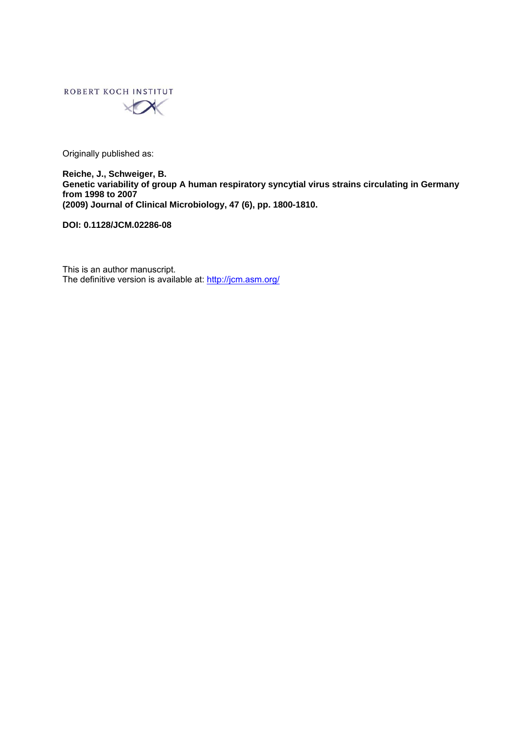

Originally published as:

**Reiche, J., Schweiger, B. Genetic variability of group A human respiratory syncytial virus strains circulating in Germany from 1998 to 2007 (2009) Journal of Clinical Microbiology, 47 (6), pp. 1800-1810.** 

**DOI: 0.1128/JCM.02286-08** 

This is an author manuscript. The definitive version is available at:<http://jcm.asm.org/>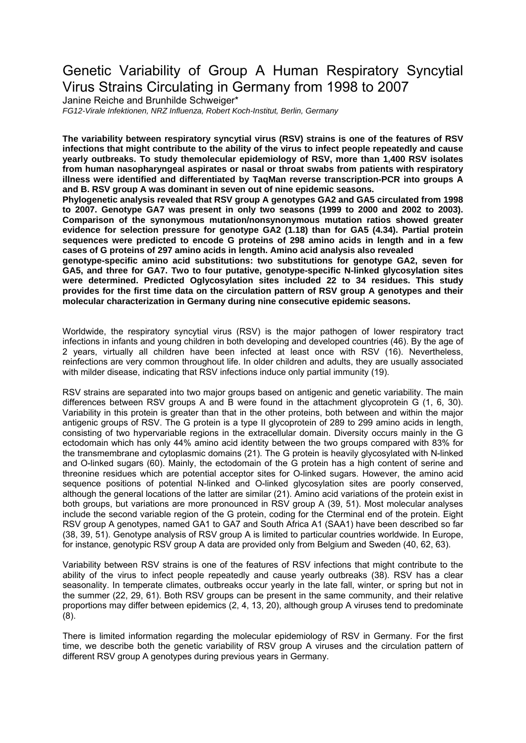# Genetic Variability of Group A Human Respiratory Syncytial Virus Strains Circulating in Germany from 1998 to 2007

Janine Reiche and Brunhilde Schweiger\* *FG12-Virale Infektionen, NRZ Influenza, Robert Koch-Institut, Berlin, Germany* 

**The variability between respiratory syncytial virus (RSV) strains is one of the features of RSV infections that might contribute to the ability of the virus to infect people repeatedly and cause yearly outbreaks. To study themolecular epidemiology of RSV, more than 1,400 RSV isolates from human nasopharyngeal aspirates or nasal or throat swabs from patients with respiratory illness were identified and differentiated by TaqMan reverse transcription-PCR into groups A and B. RSV group A was dominant in seven out of nine epidemic seasons.** 

**Phylogenetic analysis revealed that RSV group A genotypes GA2 and GA5 circulated from 1998 to 2007. Genotype GA7 was present in only two seasons (1999 to 2000 and 2002 to 2003). Comparison of the synonymous mutation/nonsynonymous mutation ratios showed greater evidence for selection pressure for genotype GA2 (1.18) than for GA5 (4.34). Partial protein sequences were predicted to encode G proteins of 298 amino acids in length and in a few cases of G proteins of 297 amino acids in length. Amino acid analysis also revealed** 

**genotype-specific amino acid substitutions: two substitutions for genotype GA2, seven for GA5, and three for GA7. Two to four putative, genotype-specific N-linked glycosylation sites were determined. Predicted Oglycosylation sites included 22 to 34 residues. This study provides for the first time data on the circulation pattern of RSV group A genotypes and their molecular characterization in Germany during nine consecutive epidemic seasons.** 

Worldwide, the respiratory syncytial virus (RSV) is the major pathogen of lower respiratory tract infections in infants and young children in both developing and developed countries (46). By the age of 2 years, virtually all children have been infected at least once with RSV (16). Nevertheless, reinfections are very common throughout life. In older children and adults, they are usually associated with milder disease, indicating that RSV infections induce only partial immunity (19).

RSV strains are separated into two major groups based on antigenic and genetic variability. The main differences between RSV groups A and B were found in the attachment glycoprotein G (1, 6, 30). Variability in this protein is greater than that in the other proteins, both between and within the major antigenic groups of RSV. The G protein is a type II glycoprotein of 289 to 299 amino acids in length, consisting of two hypervariable regions in the extracellular domain. Diversity occurs mainly in the G ectodomain which has only 44% amino acid identity between the two groups compared with 83% for the transmembrane and cytoplasmic domains (21). The G protein is heavily glycosylated with N-linked and O-linked sugars (60). Mainly, the ectodomain of the G protein has a high content of serine and threonine residues which are potential acceptor sites for O-linked sugars. However, the amino acid sequence positions of potential N-linked and O-linked glycosylation sites are poorly conserved, although the general locations of the latter are similar (21). Amino acid variations of the protein exist in both groups, but variations are more pronounced in RSV group A (39, 51). Most molecular analyses include the second variable region of the G protein, coding for the Cterminal end of the protein. Eight RSV group A genotypes, named GA1 to GA7 and South Africa A1 (SAA1) have been described so far (38, 39, 51). Genotype analysis of RSV group A is limited to particular countries worldwide. In Europe, for instance, genotypic RSV group A data are provided only from Belgium and Sweden (40, 62, 63).

Variability between RSV strains is one of the features of RSV infections that might contribute to the ability of the virus to infect people repeatedly and cause yearly outbreaks (38). RSV has a clear seasonality. In temperate climates, outbreaks occur yearly in the late fall, winter, or spring but not in the summer (22, 29, 61). Both RSV groups can be present in the same community, and their relative proportions may differ between epidemics (2, 4, 13, 20), although group A viruses tend to predominate (8).

There is limited information regarding the molecular epidemiology of RSV in Germany. For the first time, we describe both the genetic variability of RSV group A viruses and the circulation pattern of different RSV group A genotypes during previous years in Germany.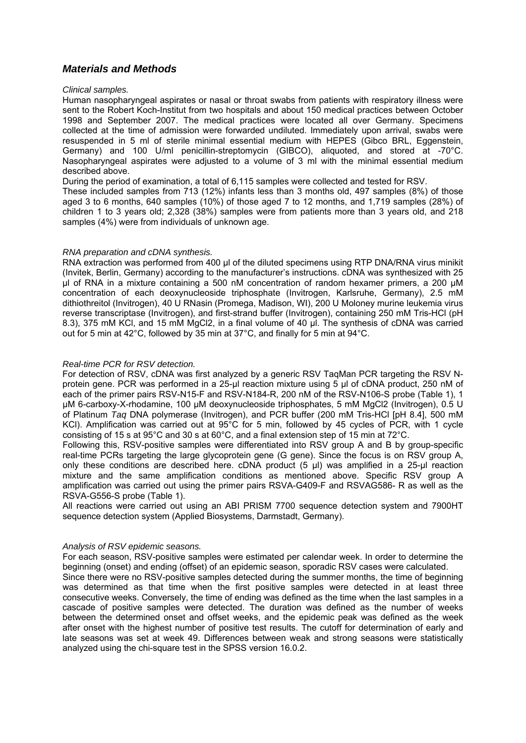# *Materials and Methods*

#### *Clinical samples.*

Human nasopharyngeal aspirates or nasal or throat swabs from patients with respiratory illness were sent to the Robert Koch-Institut from two hospitals and about 150 medical practices between October 1998 and September 2007. The medical practices were located all over Germany. Specimens collected at the time of admission were forwarded undiluted. Immediately upon arrival, swabs were resuspended in 5 ml of sterile minimal essential medium with HEPES (Gibco BRL, Eggenstein, Germany) and 100 U/ml penicillin-streptomycin (GIBCO), aliquoted, and stored at -70°C. Nasopharyngeal aspirates were adjusted to a volume of 3 ml with the minimal essential medium described above.

During the period of examination, a total of 6,115 samples were collected and tested for RSV.

These included samples from 713 (12%) infants less than 3 months old, 497 samples (8%) of those aged 3 to 6 months, 640 samples (10%) of those aged 7 to 12 months, and 1,719 samples (28%) of children 1 to 3 years old; 2,328 (38%) samples were from patients more than 3 years old, and 218 samples (4%) were from individuals of unknown age.

### *RNA preparation and cDNA synthesis.*

RNA extraction was performed from 400 μl of the diluted specimens using RTP DNA/RNA virus minikit (Invitek, Berlin, Germany) according to the manufacturer's instructions. cDNA was synthesized with 25 μl of RNA in a mixture containing a 500 nM concentration of random hexamer primers, a 200 μM concentration of each deoxynucleoside triphosphate (Invitrogen, Karlsruhe, Germany), 2.5 mM dithiothreitol (Invitrogen), 40 U RNasin (Promega, Madison, WI), 200 U Moloney murine leukemia virus reverse transcriptase (Invitrogen), and first-strand buffer (Invitrogen), containing 250 mM Tris-HCl (pH 8.3), 375 mM KCl, and 15 mM MgCl2, in a final volume of 40 μl. The synthesis of cDNA was carried out for 5 min at 42°C, followed by 35 min at 37°C, and finally for 5 min at 94°C.

### *Real-time PCR for RSV detection.*

For detection of RSV, cDNA was first analyzed by a generic RSV TaqMan PCR targeting the RSV Nprotein gene. PCR was performed in a 25-μl reaction mixture using 5 μl of cDNA product, 250 nM of each of the primer pairs RSV-N15-F and RSV-N184-R, 200 nM of the RSV-N106-S probe (Table 1), 1 μM 6-carboxy-X-rhodamine, 100 μM deoxynucleoside triphosphates, 5 mM MgCl2 (Invitrogen), 0.5 U of Platinum *Taq* DNA polymerase (Invitrogen), and PCR buffer (200 mM Tris-HCl [pH 8.4], 500 mM KCl). Amplification was carried out at 95°C for 5 min, followed by 45 cycles of PCR, with 1 cycle consisting of 15 s at 95°C and 30 s at 60°C, and a final extension step of 15 min at 72°C.

Following this, RSV-positive samples were differentiated into RSV group A and B by group-specific real-time PCRs targeting the large glycoprotein gene (G gene). Since the focus is on RSV group A, only these conditions are described here. cDNA product (5 μl) was amplified in a 25-μl reaction mixture and the same amplification conditions as mentioned above. Specific RSV group A amplification was carried out using the primer pairs RSVA-G409-F and RSVAG586- R as well as the RSVA-G556-S probe (Table 1).

All reactions were carried out using an ABI PRISM 7700 sequence detection system and 7900HT sequence detection system (Applied Biosystems, Darmstadt, Germany).

### *Analysis of RSV epidemic seasons.*

For each season, RSV-positive samples were estimated per calendar week. In order to determine the beginning (onset) and ending (offset) of an epidemic season, sporadic RSV cases were calculated.

Since there were no RSV-positive samples detected during the summer months, the time of beginning was determined as that time when the first positive samples were detected in at least three consecutive weeks. Conversely, the time of ending was defined as the time when the last samples in a cascade of positive samples were detected. The duration was defined as the number of weeks between the determined onset and offset weeks, and the epidemic peak was defined as the week after onset with the highest number of positive test results. The cutoff for determination of early and late seasons was set at week 49. Differences between weak and strong seasons were statistically analyzed using the chi-square test in the SPSS version 16.0.2.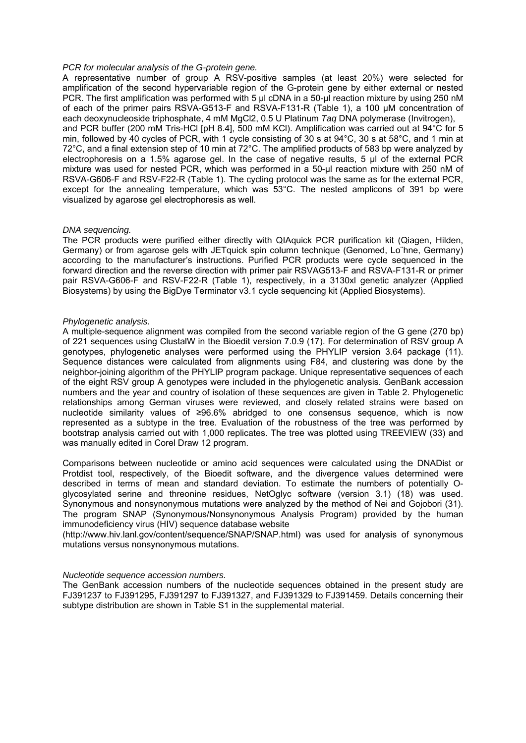#### *PCR for molecular analysis of the G-protein gene.*

A representative number of group A RSV-positive samples (at least 20%) were selected for amplification of the second hypervariable region of the G-protein gene by either external or nested PCR. The first amplification was performed with 5 μl cDNA in a 50-μl reaction mixture by using 250 nM of each of the primer pairs RSVA-G513-F and RSVA-F131-R (Table 1), a 100 μM concentration of each deoxynucleoside triphosphate, 4 mM MgCl2, 0.5 U Platinum *Taq* DNA polymerase (Invitrogen), and PCR buffer (200 mM Tris-HCl [pH 8.4], 500 mM KCl). Amplification was carried out at 94°C for 5 min, followed by 40 cycles of PCR, with 1 cycle consisting of 30 s at 94°C, 30 s at 58°C, and 1 min at 72°C, and a final extension step of 10 min at 72°C. The amplified products of 583 bp were analyzed by electrophoresis on a 1.5% agarose gel. In the case of negative results, 5 μl of the external PCR mixture was used for nested PCR, which was performed in a 50-µl reaction mixture with 250 nM of RSVA-G606-F and RSV-F22-R (Table 1). The cycling protocol was the same as for the external PCR, except for the annealing temperature, which was 53°C. The nested amplicons of 391 bp were visualized by agarose gel electrophoresis as well.

#### *DNA sequencing.*

The PCR products were purified either directly with QIAquick PCR purification kit (Qiagen, Hilden, Germany) or from agarose gels with JETquick spin column technique (Genomed, Lo¨hne, Germany) according to the manufacturer's instructions. Purified PCR products were cycle sequenced in the forward direction and the reverse direction with primer pair RSVAG513-F and RSVA-F131-R or primer pair RSVA-G606-F and RSV-F22-R (Table 1), respectively, in a 3130xl genetic analyzer (Applied Biosystems) by using the BigDye Terminator v3.1 cycle sequencing kit (Applied Biosystems).

#### *Phylogenetic analysis.*

A multiple-sequence alignment was compiled from the second variable region of the G gene (270 bp) of 221 sequences using ClustalW in the Bioedit version 7.0.9 (17). For determination of RSV group A genotypes, phylogenetic analyses were performed using the PHYLIP version 3.64 package (11). Sequence distances were calculated from alignments using F84, and clustering was done by the neighbor-joining algorithm of the PHYLIP program package. Unique representative sequences of each of the eight RSV group A genotypes were included in the phylogenetic analysis. GenBank accession numbers and the year and country of isolation of these sequences are given in Table 2. Phylogenetic relationships among German viruses were reviewed, and closely related strains were based on nucleotide similarity values of ≥96.6% abridged to one consensus sequence, which is now represented as a subtype in the tree. Evaluation of the robustness of the tree was performed by bootstrap analysis carried out with 1,000 replicates. The tree was plotted using TREEVIEW (33) and was manually edited in Corel Draw 12 program.

Comparisons between nucleotide or amino acid sequences were calculated using the DNADist or Protdist tool, respectively, of the Bioedit software, and the divergence values determined were described in terms of mean and standard deviation. To estimate the numbers of potentially Oglycosylated serine and threonine residues, NetOglyc software (version 3.1) (18) was used. Synonymous and nonsynonymous mutations were analyzed by the method of Nei and Gojobori (31). The program SNAP (Synonymous/Nonsynonymous Analysis Program) provided by the human immunodeficiency virus (HIV) sequence database website

(http://www.hiv.lanl.gov/content/sequence/SNAP/SNAP.html) was used for analysis of synonymous mutations versus nonsynonymous mutations.

#### *Nucleotide sequence accession numbers.*

The GenBank accession numbers of the nucleotide sequences obtained in the present study are FJ391237 to FJ391295, FJ391297 to FJ391327, and FJ391329 to FJ391459. Details concerning their subtype distribution are shown in Table S1 in the supplemental material.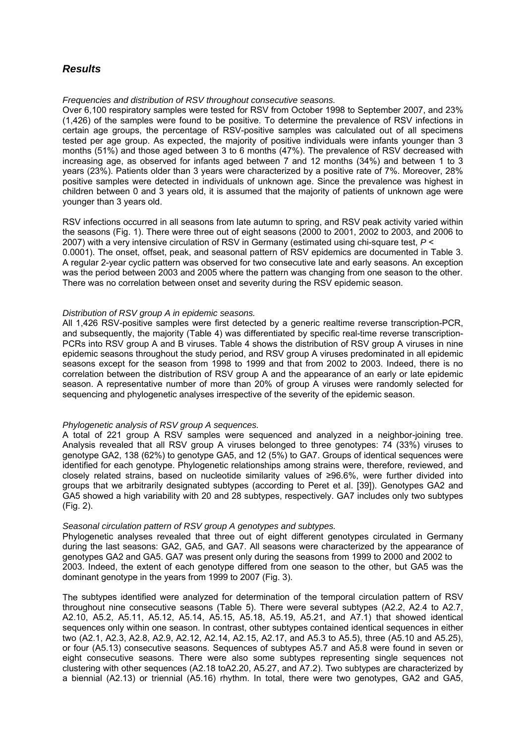# *Results*

#### *Frequencies and distribution of RSV throughout consecutive seasons.*

Over 6,100 respiratory samples were tested for RSV from October 1998 to September 2007, and 23% (1,426) of the samples were found to be positive. To determine the prevalence of RSV infections in certain age groups, the percentage of RSV-positive samples was calculated out of all specimens tested per age group. As expected, the majority of positive individuals were infants younger than 3 months (51%) and those aged between 3 to 6 months (47%). The prevalence of RSV decreased with increasing age, as observed for infants aged between 7 and 12 months (34%) and between 1 to 3 years (23%). Patients older than 3 years were characterized by a positive rate of 7%. Moreover, 28% positive samples were detected in individuals of unknown age. Since the prevalence was highest in children between 0 and 3 years old, it is assumed that the majority of patients of unknown age were younger than 3 years old.

RSV infections occurred in all seasons from late autumn to spring, and RSV peak activity varied within the seasons (Fig. 1). There were three out of eight seasons (2000 to 2001, 2002 to 2003, and 2006 to 2007) with a very intensive circulation of RSV in Germany (estimated using chi-square test, *P* < 0.0001). The onset, offset, peak, and seasonal pattern of RSV epidemics are documented in Table 3. A regular 2-year cyclic pattern was observed for two consecutive late and early seasons. An exception was the period between 2003 and 2005 where the pattern was changing from one season to the other. There was no correlation between onset and severity during the RSV epidemic season.

### *Distribution of RSV group A in epidemic seasons.*

All 1,426 RSV-positive samples were first detected by a generic realtime reverse transcription-PCR, and subsequently, the majority (Table 4) was differentiated by specific real-time reverse transcription-PCRs into RSV group A and B viruses. Table 4 shows the distribution of RSV group A viruses in nine epidemic seasons throughout the study period, and RSV group A viruses predominated in all epidemic seasons except for the season from 1998 to 1999 and that from 2002 to 2003. Indeed, there is no correlation between the distribution of RSV group A and the appearance of an early or late epidemic season. A representative number of more than 20% of group A viruses were randomly selected for sequencing and phylogenetic analyses irrespective of the severity of the epidemic season.

### *Phylogenetic analysis of RSV group A sequences.*

A total of 221 group A RSV samples were sequenced and analyzed in a neighbor-joining tree. Analysis revealed that all RSV group A viruses belonged to three genotypes: 74 (33%) viruses to genotype GA2, 138 (62%) to genotype GA5, and 12 (5%) to GA7. Groups of identical sequences were identified for each genotype. Phylogenetic relationships among strains were, therefore, reviewed, and closely related strains, based on nucleotide similarity values of ≥96.6%, were further divided into groups that we arbitrarily designated subtypes (according to Peret et al. [39]). Genotypes GA2 and GA5 showed a high variability with 20 and 28 subtypes, respectively. GA7 includes only two subtypes (Fig. 2).

### *Seasonal circulation pattern of RSV group A genotypes and subtypes.*

Phylogenetic analyses revealed that three out of eight different genotypes circulated in Germany during the last seasons: GA2, GA5, and GA7. All seasons were characterized by the appearance of genotypes GA2 and GA5. GA7 was present only during the seasons from 1999 to 2000 and 2002 to 2003. Indeed, the extent of each genotype differed from one season to the other, but GA5 was the dominant genotype in the years from 1999 to 2007 (Fig. 3).

The subtypes identified were analyzed for determination of the temporal circulation pattern of RSV throughout nine consecutive seasons (Table 5). There were several subtypes (A2.2, A2.4 to A2.7, A2.10, A5.2, A5.11, A5.12, A5.14, A5.15, A5.18, A5.19, A5.21, and A7.1) that showed identical sequences only within one season. In contrast, other subtypes contained identical sequences in either two (A2.1, A2.3, A2.8, A2.9, A2.12, A2.14, A2.15, A2.17, and A5.3 to A5.5), three (A5.10 and A5.25), or four (A5.13) consecutive seasons. Sequences of subtypes A5.7 and A5.8 were found in seven or eight consecutive seasons. There were also some subtypes representing single sequences not clustering with other sequences (A2.18 toA2.20, A5.27, and A7.2). Two subtypes are characterized by a biennial (A2.13) or triennial (A5.16) rhythm. In total, there were two genotypes, GA2 and GA5,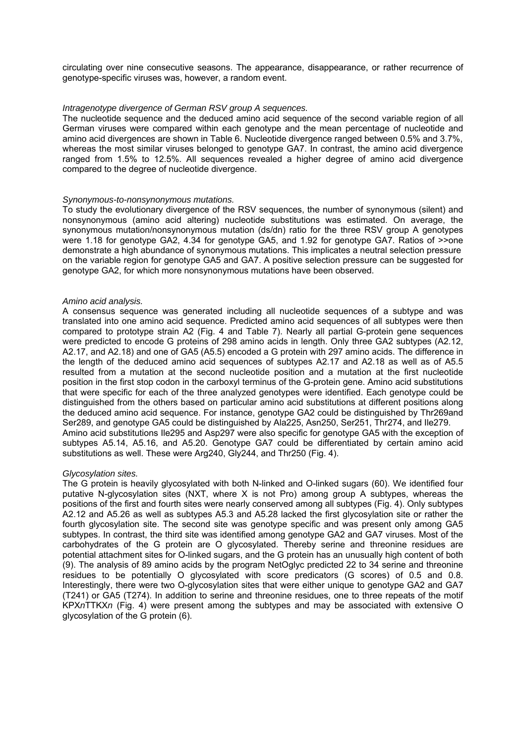circulating over nine consecutive seasons. The appearance, disappearance, or rather recurrence of genotype-specific viruses was, however, a random event.

### *Intragenotype divergence of German RSV group A sequences.*

The nucleotide sequence and the deduced amino acid sequence of the second variable region of all German viruses were compared within each genotype and the mean percentage of nucleotide and amino acid divergences are shown in Table 6. Nucleotide divergence ranged between 0.5% and 3.7%, whereas the most similar viruses belonged to genotype GA7. In contrast, the amino acid divergence ranged from 1.5% to 12.5%. All sequences revealed a higher degree of amino acid divergence compared to the degree of nucleotide divergence.

#### *Synonymous-to-nonsynonymous mutations.*

To study the evolutionary divergence of the RSV sequences, the number of synonymous (silent) and nonsynonymous (amino acid altering) nucleotide substitutions was estimated. On average, the synonymous mutation/nonsynonymous mutation (ds/dn) ratio for the three RSV group A genotypes were 1.18 for genotype GA2, 4.34 for genotype GA5, and 1.92 for genotype GA7. Ratios of >>one demonstrate a high abundance of synonymous mutations. This implicates a neutral selection pressure on the variable region for genotype GA5 and GA7. A positive selection pressure can be suggested for genotype GA2, for which more nonsynonymous mutations have been observed.

#### *Amino acid analysis.*

A consensus sequence was generated including all nucleotide sequences of a subtype and was translated into one amino acid sequence. Predicted amino acid sequences of all subtypes were then compared to prototype strain A2 (Fig. 4 and Table 7). Nearly all partial G-protein gene sequences were predicted to encode G proteins of 298 amino acids in length. Only three GA2 subtypes (A2.12, A2.17, and A2.18) and one of GA5 (A5.5) encoded a G protein with 297 amino acids. The difference in the length of the deduced amino acid sequences of subtypes A2.17 and A2.18 as well as of A5.5 resulted from a mutation at the second nucleotide position and a mutation at the first nucleotide position in the first stop codon in the carboxyl terminus of the G-protein gene. Amino acid substitutions that were specific for each of the three analyzed genotypes were identified. Each genotype could be distinguished from the others based on particular amino acid substitutions at different positions along the deduced amino acid sequence. For instance, genotype GA2 could be distinguished by Thr269and Ser289, and genotype GA5 could be distinguished by Ala225, Asn250, Ser251, Thr274, and Ile279. Amino acid substitutions Ile295 and Asp297 were also specific for genotype GA5 with the exception of subtypes A5.14, A5.16, and A5.20. Genotype GA7 could be differentiated by certain amino acid substitutions as well. These were Arg240, Gly244, and Thr250 (Fig. 4).

### *Glycosylation sites.*

The G protein is heavily glycosylated with both N-linked and O-linked sugars (60). We identified four putative N-glycosylation sites (NXT, where X is not Pro) among group A subtypes, whereas the positions of the first and fourth sites were nearly conserved among all subtypes (Fig. 4). Only subtypes A2.12 and A5.26 as well as subtypes A5.3 and A5.28 lacked the first glycosylation site or rather the fourth glycosylation site. The second site was genotype specific and was present only among GA5 subtypes. In contrast, the third site was identified among genotype GA2 and GA7 viruses. Most of the carbohydrates of the G protein are O glycosylated. Thereby serine and threonine residues are potential attachment sites for O-linked sugars, and the G protein has an unusually high content of both (9). The analysis of 89 amino acids by the program NetOglyc predicted 22 to 34 serine and threonine residues to be potentially O glycosylated with score predicators (G scores) of 0.5 and 0.8. Interestingly, there were two O-glycosylation sites that were either unique to genotype GA2 and GA7 (T241) or GA5 (T274). In addition to serine and threonine residues, one to three repeats of the motif KPX*n*TTKX*n* (Fig. 4) were present among the subtypes and may be associated with extensive O glycosylation of the G protein (6).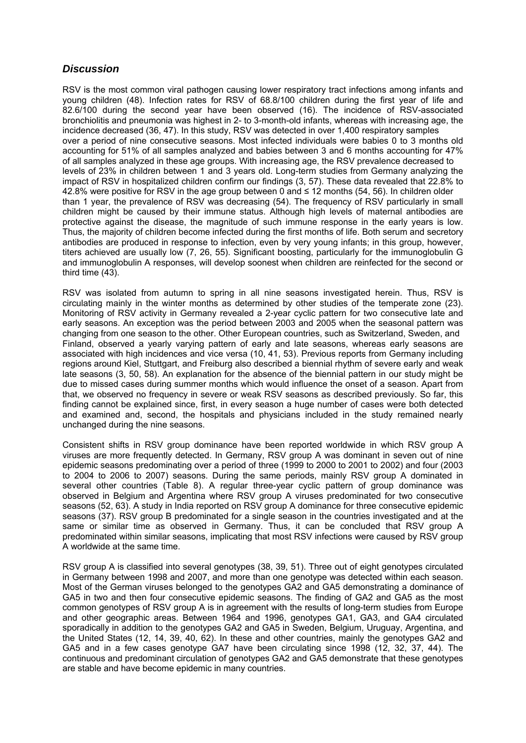# *Discussion*

RSV is the most common viral pathogen causing lower respiratory tract infections among infants and young children (48). Infection rates for RSV of 68.8/100 children during the first year of life and 82.6/100 during the second year have been observed (16). The incidence of RSV-associated bronchiolitis and pneumonia was highest in 2- to 3-month-old infants, whereas with increasing age, the incidence decreased (36, 47). In this study, RSV was detected in over 1,400 respiratory samples over a period of nine consecutive seasons. Most infected individuals were babies 0 to 3 months old accounting for 51% of all samples analyzed and babies between 3 and 6 months accounting for 47% of all samples analyzed in these age groups. With increasing age, the RSV prevalence decreased to levels of 23% in children between 1 and 3 years old. Long-term studies from Germany analyzing the impact of RSV in hospitalized children confirm our findings (3, 57). These data revealed that 22.8% to 42.8% were positive for RSV in the age group between 0 and ≤ 12 months (54, 56). In children older than 1 year, the prevalence of RSV was decreasing (54). The frequency of RSV particularly in small children might be caused by their immune status. Although high levels of maternal antibodies are protective against the disease, the magnitude of such immune response in the early years is low. Thus, the majority of children become infected during the first months of life. Both serum and secretory antibodies are produced in response to infection, even by very young infants; in this group, however, titers achieved are usually low (7, 26, 55). Significant boosting, particularly for the immunoglobulin G and immunoglobulin A responses, will develop soonest when children are reinfected for the second or third time (43).

RSV was isolated from autumn to spring in all nine seasons investigated herein. Thus, RSV is circulating mainly in the winter months as determined by other studies of the temperate zone (23). Monitoring of RSV activity in Germany revealed a 2-year cyclic pattern for two consecutive late and early seasons. An exception was the period between 2003 and 2005 when the seasonal pattern was changing from one season to the other. Other European countries, such as Switzerland, Sweden, and Finland, observed a yearly varying pattern of early and late seasons, whereas early seasons are associated with high incidences and vice versa (10, 41, 53). Previous reports from Germany including regions around Kiel, Stuttgart, and Freiburg also described a biennial rhythm of severe early and weak late seasons (3, 50, 58). An explanation for the absence of the biennial pattern in our study might be due to missed cases during summer months which would influence the onset of a season. Apart from that, we observed no frequency in severe or weak RSV seasons as described previously. So far, this finding cannot be explained since, first, in every season a huge number of cases were both detected and examined and, second, the hospitals and physicians included in the study remained nearly unchanged during the nine seasons.

Consistent shifts in RSV group dominance have been reported worldwide in which RSV group A viruses are more frequently detected. In Germany, RSV group A was dominant in seven out of nine epidemic seasons predominating over a period of three (1999 to 2000 to 2001 to 2002) and four (2003 to 2004 to 2006 to 2007) seasons. During the same periods, mainly RSV group A dominated in several other countries (Table 8). A regular three-year cyclic pattern of group dominance was observed in Belgium and Argentina where RSV group A viruses predominated for two consecutive seasons (52, 63). A study in India reported on RSV group A dominance for three consecutive epidemic seasons (37). RSV group B predominated for a single season in the countries investigated and at the same or similar time as observed in Germany. Thus, it can be concluded that RSV group A predominated within similar seasons, implicating that most RSV infections were caused by RSV group A worldwide at the same time.

RSV group A is classified into several genotypes (38, 39, 51). Three out of eight genotypes circulated in Germany between 1998 and 2007, and more than one genotype was detected within each season. Most of the German viruses belonged to the genotypes GA2 and GA5 demonstrating a dominance of GA5 in two and then four consecutive epidemic seasons. The finding of GA2 and GA5 as the most common genotypes of RSV group A is in agreement with the results of long-term studies from Europe and other geographic areas. Between 1964 and 1996, genotypes GA1, GA3, and GA4 circulated sporadically in addition to the genotypes GA2 and GA5 in Sweden, Belgium, Uruguay, Argentina, and the United States (12, 14, 39, 40, 62). In these and other countries, mainly the genotypes GA2 and GA5 and in a few cases genotype GA7 have been circulating since 1998 (12, 32, 37, 44). The continuous and predominant circulation of genotypes GA2 and GA5 demonstrate that these genotypes are stable and have become epidemic in many countries.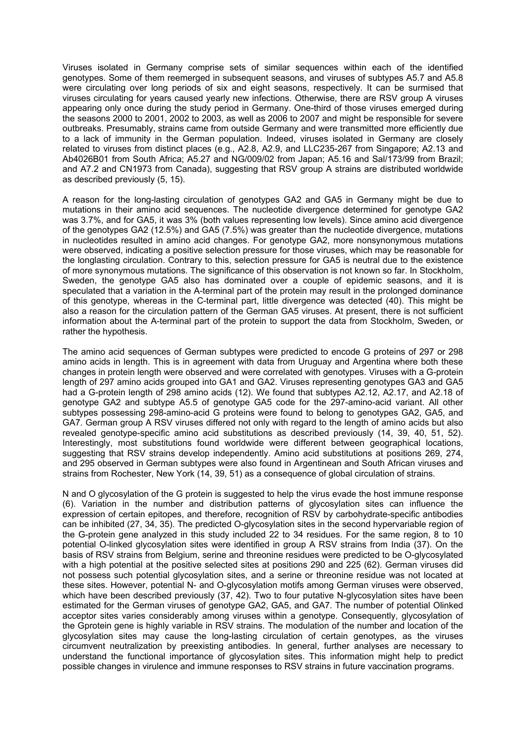Viruses isolated in Germany comprise sets of similar sequences within each of the identified genotypes. Some of them reemerged in subsequent seasons, and viruses of subtypes A5.7 and A5.8 were circulating over long periods of six and eight seasons, respectively. It can be surmised that viruses circulating for years caused yearly new infections. Otherwise, there are RSV group A viruses appearing only once during the study period in Germany. One-third of those viruses emerged during the seasons 2000 to 2001, 2002 to 2003, as well as 2006 to 2007 and might be responsible for severe outbreaks. Presumably, strains came from outside Germany and were transmitted more efficiently due to a lack of immunity in the German population. Indeed, viruses isolated in Germany are closely related to viruses from distinct places (e.g., A2.8, A2.9, and LLC235-267 from Singapore; A2.13 and Ab4026B01 from South Africa; A5.27 and NG/009/02 from Japan; A5.16 and Sal/173/99 from Brazil; and A7.2 and CN1973 from Canada), suggesting that RSV group A strains are distributed worldwide as described previously (5, 15).

A reason for the long-lasting circulation of genotypes GA2 and GA5 in Germany might be due to mutations in their amino acid sequences. The nucleotide divergence determined for genotype GA2 was 3.7%, and for GA5, it was 3% (both values representing low levels). Since amino acid divergence of the genotypes GA2 (12.5%) and GA5 (7.5%) was greater than the nucleotide divergence, mutations in nucleotides resulted in amino acid changes. For genotype GA2, more nonsynonymous mutations were observed, indicating a positive selection pressure for those viruses, which may be reasonable for the longlasting circulation. Contrary to this, selection pressure for GA5 is neutral due to the existence of more synonymous mutations. The significance of this observation is not known so far. In Stockholm, Sweden, the genotype GA5 also has dominated over a couple of epidemic seasons, and it is speculated that a variation in the A-terminal part of the protein may result in the prolonged dominance of this genotype, whereas in the C-terminal part, little divergence was detected (40). This might be also a reason for the circulation pattern of the German GA5 viruses. At present, there is not sufficient information about the A-terminal part of the protein to support the data from Stockholm, Sweden, or rather the hypothesis.

The amino acid sequences of German subtypes were predicted to encode G proteins of 297 or 298 amino acids in length. This is in agreement with data from Uruguay and Argentina where both these changes in protein length were observed and were correlated with genotypes. Viruses with a G-protein length of 297 amino acids grouped into GA1 and GA2. Viruses representing genotypes GA3 and GA5 had a G-protein length of 298 amino acids (12). We found that subtypes A2.12, A2.17, and A2.18 of genotype GA2 and subtype A5.5 of genotype GA5 code for the 297-amino-acid variant. All other subtypes possessing 298-amino-acid G proteins were found to belong to genotypes GA2, GA5, and GA7. German group A RSV viruses differed not only with regard to the length of amino acids but also revealed genotype-specific amino acid substitutions as described previously (14, 39, 40, 51, 52). Interestingly, most substitutions found worldwide were different between geographical locations, suggesting that RSV strains develop independently. Amino acid substitutions at positions 269, 274, and 295 observed in German subtypes were also found in Argentinean and South African viruses and strains from Rochester, New York (14, 39, 51) as a consequence of global circulation of strains.

N and O glycosylation of the G protein is suggested to help the virus evade the host immune response (6). Variation in the number and distribution patterns of glycosylation sites can influence the expression of certain epitopes, and therefore, recognition of RSV by carbohydrate-specific antibodies can be inhibited (27, 34, 35). The predicted O-glycosylation sites in the second hypervariable region of the G-protein gene analyzed in this study included 22 to 34 residues. For the same region, 8 to 10 potential O-linked glycosylation sites were identified in group A RSV strains from India (37). On the basis of RSV strains from Belgium, serine and threonine residues were predicted to be O-glycosylated with a high potential at the positive selected sites at positions 290 and 225 (62). German viruses did not possess such potential glycosylation sites, and a serine or threonine residue was not located at these sites. However, potential N- and O-glycosylation motifs among German viruses were observed, which have been described previously (37, 42). Two to four putative N-glycosylation sites have been estimated for the German viruses of genotype GA2, GA5, and GA7. The number of potential Olinked acceptor sites varies considerably among viruses within a genotype. Consequently, glycosylation of the Gprotein gene is highly variable in RSV strains. The modulation of the number and location of the glycosylation sites may cause the long-lasting circulation of certain genotypes, as the viruses circumvent neutralization by preexisting antibodies. In general, further analyses are necessary to understand the functional importance of glycosylation sites. This information might help to predict possible changes in virulence and immune responses to RSV strains in future vaccination programs.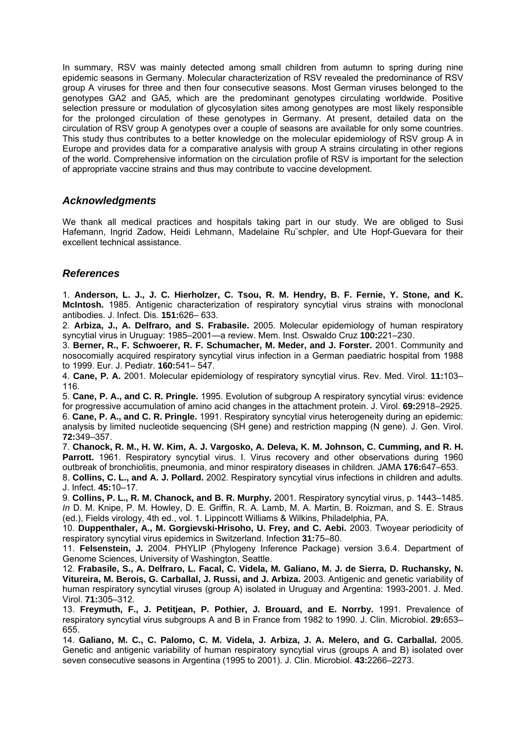In summary, RSV was mainly detected among small children from autumn to spring during nine epidemic seasons in Germany. Molecular characterization of RSV revealed the predominance of RSV group A viruses for three and then four consecutive seasons. Most German viruses belonged to the genotypes GA2 and GA5, which are the predominant genotypes circulating worldwide. Positive selection pressure or modulation of glycosylation sites among genotypes are most likely responsible for the prolonged circulation of these genotypes in Germany. At present, detailed data on the circulation of RSV group A genotypes over a couple of seasons are available for only some countries. This study thus contributes to a better knowledge on the molecular epidemiology of RSV group A in Europe and provides data for a comparative analysis with group A strains circulating in other regions of the world. Comprehensive information on the circulation profile of RSV is important for the selection of appropriate vaccine strains and thus may contribute to vaccine development.

# *Acknowledgments*

We thank all medical practices and hospitals taking part in our study. We are obliged to Susi Hafemann, Ingrid Zadow, Heidi Lehmann, Madelaine Ru¨schpler, and Ute Hopf-Guevara for their excellent technical assistance.

# *References*

1. **Anderson, L. J., J. C. Hierholzer, C. Tsou, R. M. Hendry, B. F. Fernie, Y. Stone, and K. McIntosh.** 1985. Antigenic characterization of respiratory syncytial virus strains with monoclonal antibodies. J. Infect. Dis. **151:**626– 633.

2. **Arbiza, J., A. Delfraro, and S. Frabasile.** 2005. Molecular epidemiology of human respiratory syncytial virus in Uruguay: 1985–2001—a review. Mem. Inst. Oswaldo Cruz **100:**221–230.

3. **Berner, R., F. Schwoerer, R. F. Schumacher, M. Meder, and J. Forster.** 2001. Community and nosocomially acquired respiratory syncytial virus infection in a German paediatric hospital from 1988 to 1999. Eur. J. Pediatr. **160:**541– 547.

4. **Cane, P. A.** 2001. Molecular epidemiology of respiratory syncytial virus. Rev. Med. Virol. **11:**103– 116.

5. **Cane, P. A., and C. R. Pringle.** 1995. Evolution of subgroup A respiratory syncytial virus: evidence for progressive accumulation of amino acid changes in the attachment protein. J. Virol. **69:**2918–2925. 6. **Cane, P. A., and C. R. Pringle.** 1991. Respiratory syncytial virus heterogeneity during an epidemic: analysis by limited nucleotide sequencing (SH gene) and restriction mapping (N gene). J. Gen. Virol. **72:**349–357.

7. **Chanock, R. M., H. W. Kim, A. J. Vargosko, A. Deleva, K. M. Johnson, C. Cumming, and R. H. Parrott.** 1961. Respiratory syncytial virus. I. Virus recovery and other observations during 1960 outbreak of bronchiolitis, pneumonia, and minor respiratory diseases in children. JAMA **176:**647–653.

8. **Collins, C. L., and A. J. Pollard.** 2002. Respiratory syncytial virus infections in children and adults. J. Infect. **45:**10–17.

9. **Collins, P. L., R. M. Chanock, and B. R. Murphy.** 2001. Respiratory syncytial virus, p. 1443–1485. *In* D. M. Knipe, P. M. Howley, D. E. Griffin, R. A. Lamb, M. A. Martin, B. Roizman, and S. E. Straus (ed.), Fields virology, 4th ed., vol. 1. Lippincott Williams & Wilkins, Philadelphia, PA.

10. **Duppenthaler, A., M. Gorgievski-Hrisoho, U. Frey, and C. Aebi.** 2003. Twoyear periodicity of respiratory syncytial virus epidemics in Switzerland. Infection **31:**75–80.

11. **Felsenstein, J.** 2004. PHYLIP (Phylogeny Inference Package) version 3.6.4. Department of Genome Sciences, University of Washington, Seattle.

12. **Frabasile, S., A. Delfraro, L. Facal, C. Videla, M. Galiano, M. J. de Sierra, D. Ruchansky, N. Vitureira, M. Berois, G. Carballal, J. Russi, and J. Arbiza.** 2003. Antigenic and genetic variability of human respiratory syncytial viruses (group A) isolated in Uruguay and Argentina: 1993-2001. J. Med. Virol. **71:**305–312.

13. **Freymuth, F., J. Petitjean, P. Pothier, J. Brouard, and E. Norrby.** 1991. Prevalence of respiratory syncytial virus subgroups A and B in France from 1982 to 1990. J. Clin. Microbiol. **29:**653– 655.

14. **Galiano, M. C., C. Palomo, C. M. Videla, J. Arbiza, J. A. Melero, and G. Carballal.** 2005. Genetic and antigenic variability of human respiratory syncytial virus (groups A and B) isolated over seven consecutive seasons in Argentina (1995 to 2001). J. Clin. Microbiol. **43:**2266–2273.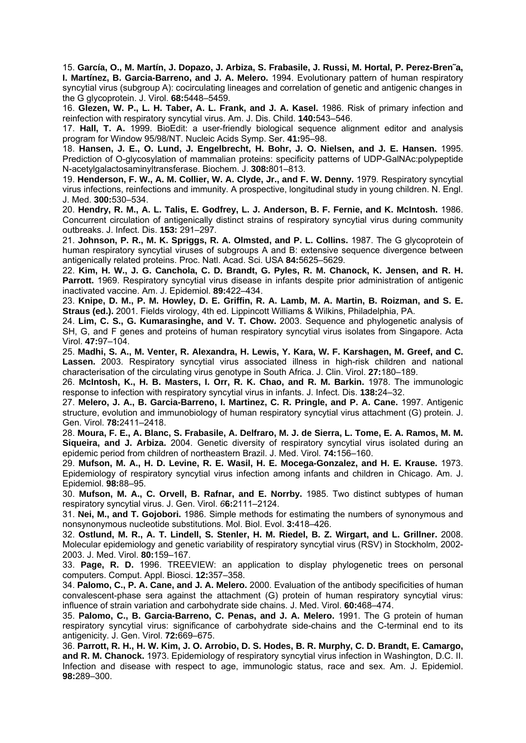15. **García, O., M. Martín, J. Dopazo, J. Arbiza, S. Frabasile, J. Russi, M. Hortal, P. Perez-Bren˜a, I. Martínez, B. Garcia-Barreno, and J. A. Melero.** 1994. Evolutionary pattern of human respiratory syncytial virus (subgroup A): cocirculating lineages and correlation of genetic and antigenic changes in the G glycoprotein. J. Virol. **68:**5448–5459.

16. **Glezen, W. P., L. H. Taber, A. L. Frank, and J. A. Kasel.** 1986. Risk of primary infection and reinfection with respiratory syncytial virus. Am. J. Dis. Child. **140:**543–546.

17. **Hall, T. A.** 1999. BioEdit: a user-friendly biological sequence alignment editor and analysis program for Window 95/98/NT. Nucleic Acids Symp. Ser. **41:**95–98.

18. **Hansen, J. E., O. Lund, J. Engelbrecht, H. Bohr, J. O. Nielsen, and J. E. Hansen.** 1995. Prediction of O-glycosylation of mammalian proteins: specificity patterns of UDP-GalNAc:polypeptide N-acetylgalactosaminyltransferase. Biochem. J. **308:**801–813.

19. **Henderson, F. W., A. M. Collier, W. A. Clyde, Jr., and F. W. Denny.** 1979. Respiratory syncytial virus infections, reinfections and immunity. A prospective, longitudinal study in young children. N. Engl. J. Med. **300:**530–534.

20. **Hendry, R. M., A. L. Talis, E. Godfrey, L. J. Anderson, B. F. Fernie, and K. McIntosh.** 1986. Concurrent circulation of antigenically distinct strains of respiratory syncytial virus during community outbreaks. J. Infect. Dis. **153:** 291–297.

21. **Johnson, P. R., M. K. Spriggs, R. A. Olmsted, and P. L. Collins.** 1987. The G glycoprotein of human respiratory syncytial viruses of subgroups A and B: extensive sequence divergence between antigenically related proteins. Proc. Natl. Acad. Sci. USA **84:**5625–5629.

22. **Kim, H. W., J. G. Canchola, C. D. Brandt, G. Pyles, R. M. Chanock, K. Jensen, and R. H. Parrott.** 1969. Respiratory syncytial virus disease in infants despite prior administration of antigenic inactivated vaccine. Am. J. Epidemiol. **89:**422–434.

23. **Knipe, D. M., P. M. Howley, D. E. Griffin, R. A. Lamb, M. A. Martin, B. Roizman, and S. E. Straus (ed.).** 2001. Fields virology, 4th ed. Lippincott Williams & Wilkins, Philadelphia, PA.

24. **Lim, C. S., G. Kumarasinghe, and V. T. Chow.** 2003. Sequence and phylogenetic analysis of SH, G, and F genes and proteins of human respiratory syncytial virus isolates from Singapore. Acta Virol. **47:**97–104.

25. **Madhi, S. A., M. Venter, R. Alexandra, H. Lewis, Y. Kara, W. F. Karshagen, M. Greef, and C. Lassen.** 2003. Respiratory syncytial virus associated illness in high-risk children and national characterisation of the circulating virus genotype in South Africa. J. Clin. Virol. **27:**180–189.

26. **McIntosh, K., H. B. Masters, I. Orr, R. K. Chao, and R. M. Barkin.** 1978. The immunologic response to infection with respiratory syncytial virus in infants. J. Infect. Dis. **138:**24–32.

27. **Melero, J. A., B. Garcia-Barreno, I. Martinez, C. R. Pringle, and P. A. Cane.** 1997. Antigenic structure, evolution and immunobiology of human respiratory syncytial virus attachment (G) protein. J. Gen. Virol. **78:**2411–2418.

28. **Moura, F. E., A. Blanc, S. Frabasile, A. Delfraro, M. J. de Sierra, L. Tome, E. A. Ramos, M. M. Siqueira, and J. Arbiza.** 2004. Genetic diversity of respiratory syncytial virus isolated during an epidemic period from children of northeastern Brazil. J. Med. Virol. **74:**156–160.

29. **Mufson, M. A., H. D. Levine, R. E. Wasil, H. E. Mocega-Gonzalez, and H. E. Krause.** 1973. Epidemiology of respiratory syncytial virus infection among infants and children in Chicago. Am. J. Epidemiol. **98:**88–95.

30. **Mufson, M. A., C. Orvell, B. Rafnar, and E. Norrby.** 1985. Two distinct subtypes of human respiratory syncytial virus. J. Gen. Virol. *6***6:**2111–2124.

31. **Nei, M., and T. Gojobori.** 1986. Simple methods for estimating the numbers of synonymous and nonsynonymous nucleotide substitutions. Mol. Biol. Evol. **3:**418–426.

32. **Ostlund, M. R., A. T. Lindell, S. Stenler, H. M. Riedel, B. Z. Wirgart, and L. Grillner.** 2008. Molecular epidemiology and genetic variability of respiratory syncytial virus (RSV) in Stockholm, 2002- 2003. J. Med. Virol. **80:**159–167.

33. **Page, R. D.** 1996. TREEVIEW: an application to display phylogenetic trees on personal computers. Comput. Appl. Biosci. **12:**357–358.

34. **Palomo, C., P. A. Cane, and J. A. Melero.** 2000. Evaluation of the antibody specificities of human convalescent-phase sera against the attachment (G) protein of human respiratory syncytial virus: influence of strain variation and carbohydrate side chains. J. Med. Virol. **60:**468–474.

35. **Palomo, C., B. Garcia-Barreno, C. Penas, and J. A. Melero.** 1991. The G protein of human respiratory syncytial virus: significance of carbohydrate side-chains and the C-terminal end to its antigenicity. J. Gen. Virol. **72:**669–675.

36. **Parrott, R. H., H. W. Kim, J. O. Arrobio, D. S. Hodes, B. R. Murphy, C. D. Brandt, E. Camargo, and R. M. Chanock.** 1973. Epidemiology of respiratory syncytial virus infection in Washington, D.C. II. Infection and disease with respect to age, immunologic status, race and sex. Am. J. Epidemiol. **98:**289–300.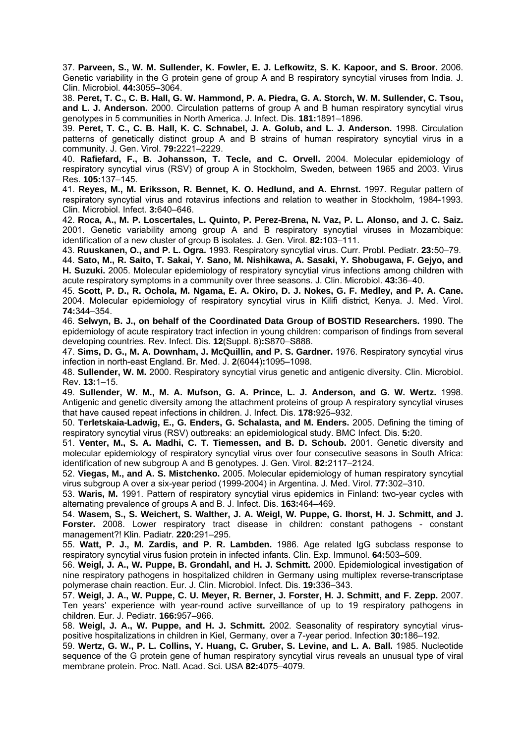37. **Parveen, S., W. M. Sullender, K. Fowler, E. J. Lefkowitz, S. K. Kapoor, and S. Broor.** 2006. Genetic variability in the G protein gene of group A and B respiratory syncytial viruses from India. J. Clin. Microbiol. **44:**3055–3064.

38. **Peret, T. C., C. B. Hall, G. W. Hammond, P. A. Piedra, G. A. Storch, W. M. Sullender, C. Tsou, and L. J. Anderson.** 2000. Circulation patterns of group A and B human respiratory syncytial virus genotypes in 5 communities in North America. J. Infect. Dis. **181:**1891–1896.

39. **Peret, T. C., C. B. Hall, K. C. Schnabel, J. A. Golub, and L. J. Anderson.** 1998. Circulation patterns of genetically distinct group A and B strains of human respiratory syncytial virus in a community. J. Gen. Virol. **79:**2221–2229.

40. **Rafiefard, F., B. Johansson, T. Tecle, and C. Orvell.** 2004. Molecular epidemiology of respiratory syncytial virus (RSV) of group A in Stockholm, Sweden, between 1965 and 2003. Virus Res. **105:**137–145.

41. **Reyes, M., M. Eriksson, R. Bennet, K. O. Hedlund, and A. Ehrnst.** 1997. Regular pattern of respiratory syncytial virus and rotavirus infections and relation to weather in Stockholm, 1984-1993. Clin. Microbiol. Infect. **3:**640–646.

42. **Roca, A., M. P. Loscertales, L. Quinto, P. Perez-Brena, N. Vaz, P. L. Alonso, and J. C. Saiz.**  2001. Genetic variability among group A and B respiratory syncytial viruses in Mozambique: identification of a new cluster of group B isolates. J. Gen. Virol. **82:**103–111.

43. **Ruuskanen, O., and P. L. Ogra.** 1993. Respiratory syncytial virus. Curr. Probl. Pediatr. **23:**50–79.

44. **Sato, M., R. Saito, T. Sakai, Y. Sano, M. Nishikawa, A. Sasaki, Y. Shobugawa, F. Gejyo, and H. Suzuki.** 2005. Molecular epidemiology of respiratory syncytial virus infections among children with acute respiratory symptoms in a community over three seasons. J. Clin. Microbiol. **43:**36–40.

45. **Scott, P. D., R. Ochola, M. Ngama, E. A. Okiro, D. J. Nokes, G. F. Medley, and P. A. Cane.**  2004. Molecular epidemiology of respiratory syncytial virus in Kilifi district, Kenya. J. Med. Virol. **74:**344–354.

46. **Selwyn, B. J., on behalf of the Coordinated Data Group of BOSTID Researchers.** 1990. The epidemiology of acute respiratory tract infection in young children: comparison of findings from several developing countries. Rev. Infect. Dis. **12**(Suppl. 8)**:**S870–S888.

47. **Sims, D. G., M. A. Downham, J. McQuillin, and P. S. Gardner.** 1976. Respiratory syncytial virus infection in north-east England. Br. Med. J. **2**(6044)**:**1095–1098.

48. **Sullender, W. M.** 2000. Respiratory syncytial virus genetic and antigenic diversity. Clin. Microbiol. Rev. **13:**1–15.

49. **Sullender, W. M., M. A. Mufson, G. A. Prince, L. J. Anderson, and G. W. Wertz.** 1998. Antigenic and genetic diversity among the attachment proteins of group A respiratory syncytial viruses that have caused repeat infections in children. J. Infect. Dis. **178:**925–932.

50. **Terletskaia-Ladwig, E., G. Enders, G. Schalasta, and M. Enders.** 2005. Defining the timing of respiratory syncytial virus (RSV) outbreaks: an epidemiological study. BMC Infect. Dis. **5:**20.

51. **Venter, M., S. A. Madhi, C. T. Tiemessen, and B. D. Schoub.** 2001. Genetic diversity and molecular epidemiology of respiratory syncytial virus over four consecutive seasons in South Africa: identification of new subgroup A and B genotypes. J. Gen. Virol. **82:**2117–2124.

52. **Viegas, M., and A. S. Mistchenko.** 2005. Molecular epidemiology of human respiratory syncytial virus subgroup A over a six-year period (1999-2004) in Argentina. J. Med. Virol. **77:**302–310.

53. **Waris, M.** 1991. Pattern of respiratory syncytial virus epidemics in Finland: two-year cycles with alternating prevalence of groups A and B. J. Infect. Dis. **163:**464–469.

54. **Wasem, S., S. Weichert, S. Walther, J. A. Weigl, W. Puppe, G. Ihorst, H. J. Schmitt, and J. Forster.** 2008. Lower respiratory tract disease in children: constant pathogens - constant management?! Klin. Padiatr. **220:**291–295.

55. **Watt, P. J., M. Zardis, and P. R. Lambden.** 1986. Age related IgG subclass response to respiratory syncytial virus fusion protein in infected infants. Clin. Exp. Immunol. **64:**503–509.

56. **Weigl, J. A., W. Puppe, B. Grondahl, and H. J. Schmitt.** 2000. Epidemiological investigation of nine respiratory pathogens in hospitalized children in Germany using multiplex reverse-transcriptase polymerase chain reaction. Eur. J. Clin. Microbiol. Infect. Dis. **19:**336–343.

57. **Weigl, J. A., W. Puppe, C. U. Meyer, R. Berner, J. Forster, H. J. Schmitt, and F. Zepp.** 2007. Ten years' experience with year-round active surveillance of up to 19 respiratory pathogens in children. Eur. J. Pediatr. **166:**957–966.

58. **Weigl, J. A., W. Puppe, and H. J. Schmitt.** 2002. Seasonality of respiratory syncytial viruspositive hospitalizations in children in Kiel, Germany, over a 7-year period. Infection **30:**186–192.

59. **Wertz, G. W., P. L. Collins, Y. Huang, C. Gruber, S. Levine, and L. A. Ball.** 1985. Nucleotide sequence of the G protein gene of human respiratory syncytial virus reveals an unusual type of viral membrane protein. Proc. Natl. Acad. Sci. USA **82:**4075–4079.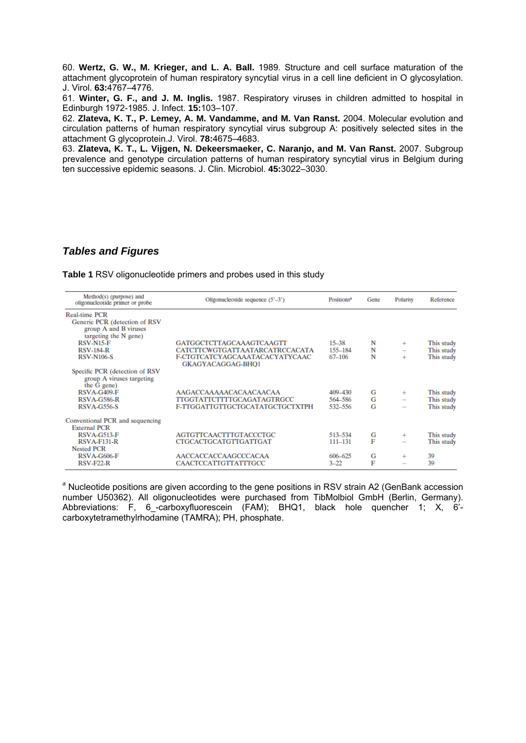60. **Wertz, G. W., M. Krieger, and L. A. Ball.** 1989. Structure and cell surface maturation of the attachment glycoprotein of human respiratory syncytial virus in a cell line deficient in O glycosylation. J. Virol. **63:**4767–4776.

61. **Winter, G. F., and J. M. Inglis.** 1987. Respiratory viruses in children admitted to hospital in Edinburgh 1972-1985. J. Infect. **15:**103–107.

62. **Zlateva, K. T., P. Lemey, A. M. Vandamme, and M. Van Ranst.** 2004. Molecular evolution and circulation patterns of human respiratory syncytial virus subgroup A: positively selected sites in the attachment G glycoprotein.J. Virol. **78:**4675–4683.

63. **Zlateva, K. T., L. Vijgen, N. Dekeersmaeker, C. Naranjo, and M. Van Ranst.** 2007. Subgroup prevalence and genotype circulation patterns of human respiratory syncytial virus in Belgium during ten successive epidemic seasons. J. Clin. Microbiol. **45:**3022–3030.

# *Tables and Figures*

**Table 1** RSV oligonucleotide primers and probes used in this study

| Method(s) (purpose) and<br>oligonucleotide primer or probe                                       | Oligonucleotide sequence $(5'–3')$                         | Positions <sup>a</sup> | Gene | Polarity          | Reference  |
|--------------------------------------------------------------------------------------------------|------------------------------------------------------------|------------------------|------|-------------------|------------|
| Real-time PCR<br>Generic PCR (detection of RSV<br>group A and B viruses<br>targeting the N gene) |                                                            |                        |      |                   |            |
| <b>RSV-N15-F</b>                                                                                 | <b>GATGGCTCITAGCAAAGTCAAGTT</b>                            | $15 - 38$              | N    | $\ddot{}$         | This study |
| <b>RSV-184-R</b>                                                                                 | <b>CATCITCWGTGATTAATARCATRCCACATA</b>                      | 155-184                | N    | $\qquad \qquad -$ | This study |
| <b>RSV-N106-S</b>                                                                                | F-CTGTCATCYAGCAAATACACYATYCAAC<br><b>GKAGYACAGGAG-BHO1</b> | 67-106                 | N    | $^{+}$            | This study |
| Specific PCR (detection of RSV)<br>group A viruses targeting<br>the G gene)                      |                                                            |                        |      |                   |            |
| RSVA-G409-F                                                                                      | AAGACCAAAAACACAACAACAA                                     | 409-430                | G    | $^{+}$            | This study |
| RSVA-G586-R                                                                                      | TTGGTATTCTTTTGCAGATAGTRGCC                                 | 564 586                | G    |                   | This study |
| <b>RSVA-G556-S</b>                                                                               | F-TTGGATTGTTGCTGCATATGCTGCTXTPH                            | 532-556                | G    |                   | This study |
| Conventional PCR and sequencing<br><b>External PCR</b>                                           |                                                            |                        |      |                   |            |
| RSVA-G513-F                                                                                      | <b>AGTGTTCAACITTGTACCCTGC</b>                              | 513-534                | G    | $^{+}$            | This study |
| <b>RSVA-F131-R</b>                                                                               | <b>CTGCACTGCATGTTGATTGAT</b>                               | 111-131                | F    |                   | This study |
| <b>Nested PCR</b>                                                                                |                                                            |                        |      |                   |            |
| <b>RSVA-G606-F</b>                                                                               | AACCACCACCAAGCCCACAA                                       | 606-625                | G    | $^{+}$            | 39         |
| <b>RSV-F22-R</b>                                                                                 | <b>CAACTCCATTGTTATTTGCC</b>                                | $3 - 22$               | F    |                   | 39         |

*<sup>a</sup>* Nucleotide positions are given according to the gene positions in RSV strain A2 (GenBank accession number U50362). All oligonucleotides were purchased from TibMolbiol GmbH (Berlin, Germany). Abbreviations: F, 6-carboxyfluorescein (FAM); BHQ1, black hole quencher 1; X, 6'carboxytetramethylrhodamine (TAMRA); PH, phosphate.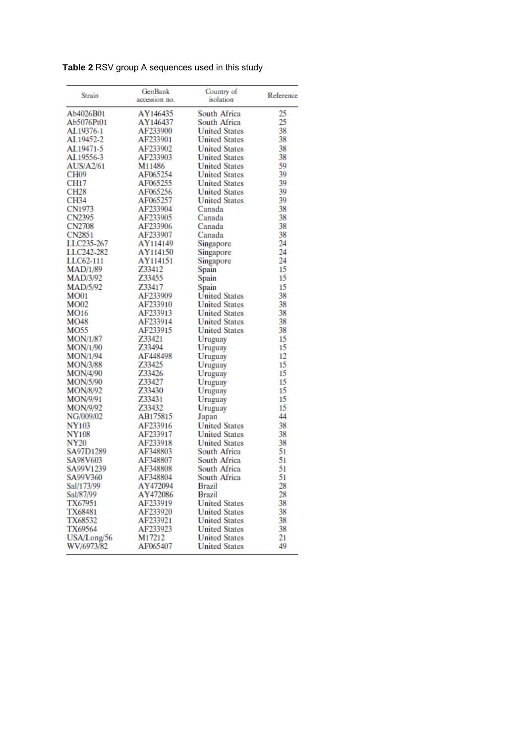| Strain           | GenBank       | Country of           | Reference |
|------------------|---------------|----------------------|-----------|
|                  | accession no. | isolation            |           |
|                  |               |                      |           |
| Ab4026B01        | AY146435      | South Africa         | 25        |
| Ab5076Pt01       | AY146437      | South Africa         | 25        |
| AL19376-1        | AF233900      | <b>United States</b> | 38        |
| AL19452-2        | AF233901      | <b>United States</b> | 38        |
| AL19471-5        | AF233902      | <b>United States</b> | 38        |
| AL19556-3        | AF233903      | <b>United States</b> | 38        |
| <b>AUS/A2/61</b> | M11486        | <b>United States</b> | 59        |
| CH <sub>09</sub> | AF065254      | <b>United States</b> | 39        |
| <b>CH17</b>      | AF065255      | <b>United States</b> | 39        |
| <b>CH28</b>      | AF065256      | <b>United States</b> | 39        |
| <b>CH34</b>      | AF065257      | <b>United States</b> | 39        |
| CN1973           | AF233904      | Canada               | 38        |
| CN2395           | AF233905      | Canada               | 38        |
| <b>CN2708</b>    | AF233906      | Canada               | 38        |
| CN2851           | AF233907      | Canada               | 38        |
| LLC235-267       | AY114149      | Singapore            | 24        |
| LLC242-282       | AY114150      | Singapore            | 24        |
| LLC62-111        | AY114151      | Singapore            | 24        |
| <b>MAD/1/89</b>  | Z33412        | Spain                | 15        |
| MAD/3/92         | Z33455        | Spain                | 15        |
| MAD/5/92         | Z33417        | Spain                | 15        |
| <b>MO01</b>      | AF233909      | <b>United States</b> | 38        |
| MO02             | AF233910      | <b>United States</b> | 38        |
| MO <sub>16</sub> | AF233913      | <b>United States</b> | 38        |
| MO48             | AF233914      | <b>United States</b> | 38        |
| MO55             | AF233915      | <b>United States</b> | 38        |
| MON/1/87         | Z33421        | Uruguay              | 15        |
| MON/1/90         | Z33494        | Uruguay              | 15        |
| MON/1/94         | AF448498      | Uruguay              | 12        |
| MON/3/88         | Z33425        | Uruguay              | 15        |
| MON/4/90         | Z33426        | Uruguay              | 15        |
|                  | Z33427        |                      | 15        |
| MON/5/90         | Z33430        | Uruguay              | 15        |
| MON/8/92         | Z33431        | Uruguay              |           |
| MON/9/91         |               | Uruguay              | 15<br>15  |
| MON/9/92         | Z33432        | Uruguay              |           |
| NG/009/02        | AB175815      | Japan                | 44        |
| <b>NY103</b>     | AF233916      | <b>United States</b> | 38        |
| <b>NY108</b>     | AF233917      | <b>United States</b> | 38        |
| <b>NY20</b>      | AF233918      | <b>United States</b> | 38        |
| SA97D1289        | AF348803      | South Africa         | 51        |
| SA98V603         | AF348807      | South Africa         | 51        |
| SA99V1239        | AF348808      | South Africa         | 51        |
| SA99V360         | AF348804      | South Africa         | 51        |
| Sal/173/99       | AY472094      | Brazil               | 28        |
| Sal/87/99        | AY472086      | Brazil               | 28        |
| TX67951          | AF233919      | <b>United States</b> | 38        |
| <b>TX68481</b>   | AF233920      | <b>United States</b> | 38        |
| TX68532          | AF233921      | <b>United States</b> | 38        |
| <b>TX69564</b>   | AF233923      | <b>United States</b> | 38        |
| USA/Long/56      | M17212        | <b>United States</b> | 21        |
| WV/6973/82       | AF065407      | <b>United States</b> | 49        |
|                  |               |                      |           |

**Table 2** RSV group A sequences used in this study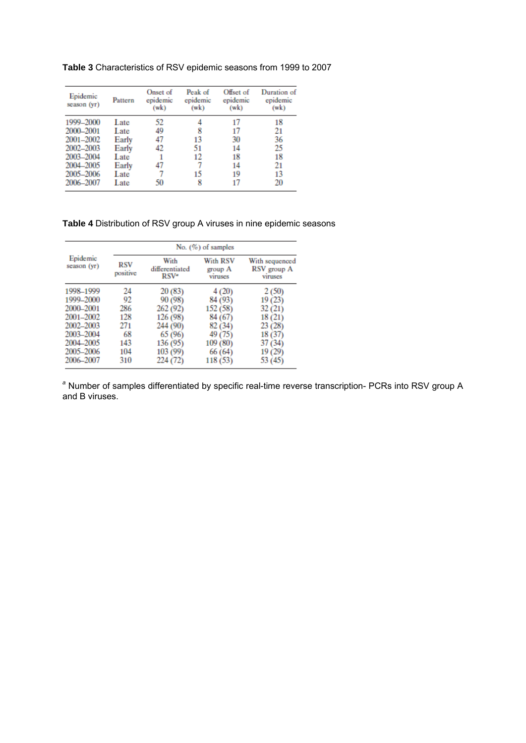**Table 3** Characteristics of RSV epidemic seasons from 1999 to 2007

| Epidemic<br>season (yr) | Pattern | Onset of<br>epidemic<br>(wk) | Peak of<br>epidemic<br>(wk) | Offset of<br>epidemic<br>(wk) | Duration of<br>epidemic<br>(wk) |
|-------------------------|---------|------------------------------|-----------------------------|-------------------------------|---------------------------------|
| 1999-2000               | Late    | 52                           |                             | 17                            | 18                              |
| 2000-2001               | Late    | 49                           | 8                           | 17                            | 21                              |
| 2001-2002               | Early   | 47                           | 13                          | 30                            | 36                              |
| 2002-2003               | Early   | 42                           | 51                          | 14                            | 25                              |
| 2003-2004               | Late    |                              | 12                          | 18                            | 18                              |
| 2004-2005               | Early   | 47                           |                             | 14                            | 21                              |
| 2005-2006               | Late    |                              | 15                          | 19                            | 13                              |
| 2006-2007               | Late    | 50                           | 8                           | 17                            | 20                              |

# **Table 4** Distribution of RSV group A viruses in nine epidemic seasons

|                                                                                                                   | No. $(\%)$ of samples                                    |                                                                                                      |                                                                                                   |                                                                                             |  |  |  |  |
|-------------------------------------------------------------------------------------------------------------------|----------------------------------------------------------|------------------------------------------------------------------------------------------------------|---------------------------------------------------------------------------------------------------|---------------------------------------------------------------------------------------------|--|--|--|--|
| Epidemic<br>season (yr)                                                                                           | <b>RSV</b><br>positive                                   | With<br>differentiated<br>RSV <sup>a</sup>                                                           | With RSV<br>group A<br>viruses                                                                    | With sequenced<br>RSV group A<br>viruses                                                    |  |  |  |  |
| 1998-1999<br>1999-2000<br>2000-2001<br>2001-2002<br>2002-2003<br>2003-2004<br>2004-2005<br>2005-2006<br>2006-2007 | 24<br>92<br>286<br>128<br>271<br>68<br>143<br>104<br>310 | 20(83)<br>90 (98)<br>262 (92)<br>126 (98)<br>244 (90)<br>65 (96)<br>136 (95)<br>103 (99)<br>224 (72) | 4 (20)<br>84 (93)<br>152 (58)<br>84 (67)<br>82 (34)<br>49 (75)<br>109 (80)<br>66 (64)<br>118 (53) | 2(50)<br>19 (23)<br>32(21)<br>18(21)<br>23 (28)<br>18 (37)<br>37 (34)<br>19 (29)<br>53 (45) |  |  |  |  |

*<sup>a</sup>* Number of samples differentiated by specific real-time reverse transcription- PCRs into RSV group A and B viruses.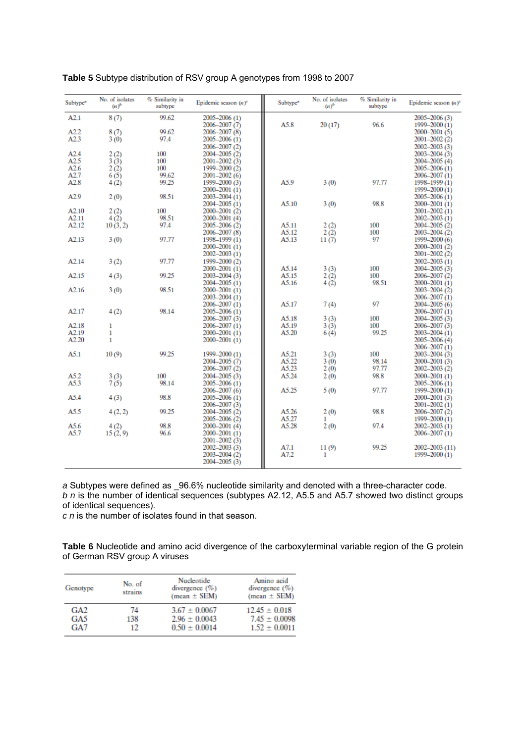| Subtype <sup>a</sup> | No. of isolates<br>$(n)^b$ | % Similarity in<br>subtype | Epidemic season $(n)^c$ | Subtype <sup>a</sup> | No. of isolates<br>$(n)^b$ | % Similarity in<br>subtype | Epidemic season $(n)^c$ |
|----------------------|----------------------------|----------------------------|-------------------------|----------------------|----------------------------|----------------------------|-------------------------|
| A2.1                 | 8(7)                       | 99.62                      | $2005 - 2006(1)$        |                      |                            |                            | 2005-2006 (3)           |
|                      |                            |                            | 2006–2007 (7)           | A5.8                 | 20(17)                     | 96.6                       | 1999-2000 (1)           |
| A2.2                 | 8(7)                       | 99.62                      | 2006-2007 (8)           |                      |                            |                            | 2000–2001 (5)           |
| A2.3                 | 3(0)                       | 97.4                       | 2005–2006 (1)           |                      |                            |                            | $2001 - 2002$ (2)       |
|                      |                            |                            | 2006-2007 (2)           |                      |                            |                            | $2002 - 2003$ (3)       |
| A2.4                 | 2(2)                       | 100                        | 2004-2005 (2)           |                      |                            |                            | 2003-2004 (3)           |
| A2.5                 | 3(3)                       | 100                        | 2001-2002 (3)           |                      |                            |                            | 2004–2005 (4)           |
| A2.6                 | 2(2)                       | 100                        | 1999-2000 (2)           |                      |                            |                            | 2005-2006 (1)           |
| A2.7                 | 6(5)                       | 99.62                      | 2001-2002 (6)           |                      |                            |                            | 2006-2007 (1)           |
| A2.8                 | 4(2)                       | 99.25                      | 1999-2000 (3)           | A5.9                 | 3(0)                       | 97.77                      | 1998-1999 (1)           |
|                      |                            |                            | $2000 - 2001(1)$        |                      |                            |                            | 1999-2000 (1)           |
| A2.9                 | 2(0)                       | 98.51                      | 2003-2004 (1)           |                      |                            |                            | $2005 - 2006(1)$        |
|                      |                            |                            | 2004-2005 (1)           | A5.10                | 3(0)                       | 98.8                       | $2000 - 2001(1)$        |
| A2.10                | 2(2)                       | 100                        | 2000-2001 (2)           |                      |                            |                            | $2001 - 2002(1)$        |
| A2.11                | 4(2)                       | 98.51                      | 2000-2001 (4)           |                      |                            |                            | $2002 - 2003(1)$        |
| A2.12                | 10(3, 2)                   | 97.4                       | 2005-2006 (2)           | A5.11                | 2(2)                       | 100                        | 2004–2005 (2)           |
|                      |                            |                            | 2006-2007 (8)           | A5.12                | 2(2)                       | 100                        | 2003-2004 (2)           |
| A2.13                | 3(0)                       | 97.77                      | 1998-1999 (1)           | A5.13                | 11 $(7)$                   | 97                         | 1999-2000 (6)           |
|                      |                            |                            | $2000 - 2001(1)$        |                      |                            |                            | 2000-2001 (2)           |
|                      |                            |                            | 2002-2003 (1)           |                      |                            |                            | $2001 - 2002(2)$        |
| A2.14                | 3(2)                       | 97.77                      | 1999-2000 (2)           |                      |                            |                            | 2002-2003 (1)           |
|                      |                            |                            | 2000-2001 (1)           | A5.14                | 3(3)                       | 100                        | $2004 - 2005(3)$        |
| A2.15                | 4(3)                       | 99.25                      | 2003-2004 (3)           | A5.15                | 2(2)                       | 100                        | 2006-2007 (2)           |
|                      |                            |                            | 2004-2005 (1)           | A5.16                |                            | 98.51                      | $2000 - 2001(1)$        |
| A2.16                | 3(0)                       | 98.51                      | 2000-2001 (1)           |                      | 4(2)                       |                            | 2003-2004 (2)           |
|                      |                            |                            | 2003-2004 (1)           |                      |                            |                            | 2006-2007 (1)           |
|                      |                            |                            |                         | A5.17                |                            | 97                         |                         |
| A2.17                |                            | 98.14                      | 2006-2007 (1)           |                      | 7(4)                       |                            | 2004–2005 (6)           |
|                      | 4(2)                       |                            | 2005-2006 (1)           |                      |                            |                            | 2006-2007 (1)           |
|                      |                            |                            | 2006-2007 (3)           | A5.18                | 3(3)                       | 100                        | 2004–2005 (3)           |
| A2.18                | 1                          |                            | 2006-2007 (1)           | A5.19                | 3 (3)                      | 100                        | 2006–2007 (3)           |
| A2.19                | $\mathbf{1}$               |                            | 2000-2001 (1)           | A5.20                | 6(4)                       | 99.25                      | $2003 - 2004(1)$        |
| A2.20                | $\mathbf{1}$               |                            | 2000-2001 (1)           |                      |                            |                            | $2005 - 2006(4)$        |
|                      |                            |                            |                         |                      |                            |                            | 2006-2007 (1)           |
| A5.1                 | 10(9)                      | 99.25                      | 1999-2000 (1)           | A5.21                | 3(3)                       | 100                        | $2003 - 2004(3)$        |
|                      |                            |                            | 2004-2005 (7)           | A5.22                | 3(0)                       | 98.14                      | $2000 - 2001(3)$        |
|                      |                            |                            | $2006 - 2007(2)$        | A5.23                | 2(0)                       | 97.77                      | $2002 - 2003$ (2)       |
| A5.2                 | 3(3)                       | 100                        | 2004–2005 (3)           | A5.24                | 2(0)                       | 98.8                       | $2000 - 2001(1)$        |
| A5.3                 | 7(5)                       | 98.14                      | 2005-2006 (1)           |                      |                            |                            | 2005-2006 (1)           |
|                      |                            |                            | 2006-2007 (6)           | A5.25                | 5 (0)                      | 97.77                      | 1999-2000 (1)           |
| A5.4                 | 4(3)                       | 98.8                       | 2005-2006 (1)           |                      |                            |                            | 2000-2001 (3)           |
|                      |                            |                            | 2006-2007 (3)           |                      |                            |                            | $2001 - 2002(1)$        |
| A5.5                 | 4(2, 2)                    | 99.25                      | 2004-2005 (2)           | A5.26                | 2(0)                       | 98.8                       | 2006–2007 (2)           |
|                      |                            |                            | 2005-2006 (2)           | A5.27                | 1                          |                            | 1999-2000 (1)           |
| A5.6                 | 4(2)                       | 98.8                       | $2000 - 2001(4)$        | A5.28                | 2(0)                       | 97.4                       | $2002 - 2003(1)$        |
| A5.7                 | 15(2, 9)                   | 96.6                       | 2000-2001 (1)           |                      |                            |                            | 2006–2007 (1)           |
|                      |                            |                            | 2001–2002 (3)           |                      |                            |                            |                         |
|                      |                            |                            | 2002-2003 (3)           | A7.1                 | 11(9)                      | 99.25                      | 2002-2003 (11)          |
|                      |                            |                            | 2003-2004 (2)           | A7.2                 | 1                          |                            | 1999-2000 (1)           |
|                      |                            |                            | 2004–2005 (3)           |                      |                            |                            |                         |
|                      |                            |                            |                         |                      |                            |                            |                         |

## **Table 5** Subtype distribution of RSV group A genotypes from 1998 to 2007

*a* Subtypes were defined as \_96.6% nucleotide similarity and denoted with a three-character code. *b n* is the number of identical sequences (subtypes A2.12, A5.5 and A5.7 showed two distinct groups of identical sequences).

*c n* is the number of isolates found in that season.

**Table 6** Nucleotide and amino acid divergence of the carboxyterminal variable region of the G protein of German RSV group A viruses

| Genotype                      | No. of<br>strains | Nucleotide<br>divergence $(\% )$<br>$(mean \pm SEM)$        | Amino acid<br>divergence $(\% )$<br>(mean $\pm$ SEM)        |
|-------------------------------|-------------------|-------------------------------------------------------------|-------------------------------------------------------------|
| GA <sub>2</sub><br>GA5<br>GA7 | 74<br>138<br>12   | $3.67 \pm 0.0067$<br>$2.96 \pm 0.0043$<br>$0.50 \pm 0.0014$ | $12.45 \pm 0.018$<br>$7.45 \pm 0.0098$<br>$1.52 \pm 0.0011$ |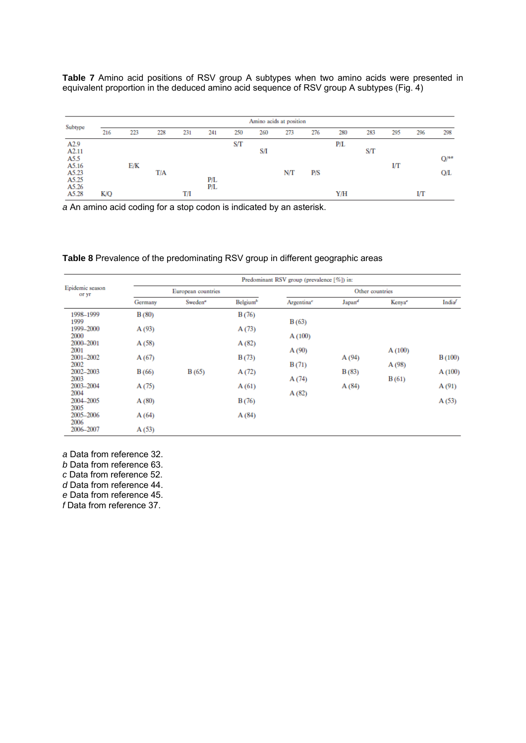**Table 7** Amino acid positions of RSV group A subtypes when two amino acids were presented in equivalent proportion in the deduced amino acid sequence of RSV group A subtypes (Fig. 4)

| Subtype                   | Amino acids at position |     |     |     |            |     |     |     |     |     |     |     |     |      |
|---------------------------|-------------------------|-----|-----|-----|------------|-----|-----|-----|-----|-----|-----|-----|-----|------|
|                           | 216                     | 223 | 228 | 231 | 241        | 250 | 260 | 273 | 276 | 280 | 283 | 295 | 296 | 298  |
| A <sub>2.9</sub><br>A2.11 |                         |     |     |     |            | S/T | S/I |     |     | P/L | S/T |     |     |      |
| A5.5<br>A5.16             |                         | E/K |     |     |            |     |     |     |     |     |     | I/Т |     | Q/4a |
| A5.23                     |                         |     | T/A |     |            |     |     | N/T | P/S |     |     |     |     | ОÆ   |
| A5.25<br>A5.26            |                         |     |     |     | P/L<br>P/L |     |     |     |     |     |     |     |     |      |
| A5.28                     | K/Q                     |     |     | TЛ  |            |     |     |     |     | Y/H |     |     | IЛ  |      |

*a* An amino acid coding for a stop codon is indicated by an asterisk.

# **Table 8** Prevalence of the predominating RSV group in different geographic areas

|                                                                                                                                                                      |                                                                      | Predominant RSV group (prevalence [%]) in: |                                                                      |                                                     |                         |                          |                                    |  |  |  |  |  |
|----------------------------------------------------------------------------------------------------------------------------------------------------------------------|----------------------------------------------------------------------|--------------------------------------------|----------------------------------------------------------------------|-----------------------------------------------------|-------------------------|--------------------------|------------------------------------|--|--|--|--|--|
| Epidemic season<br>or yr                                                                                                                                             |                                                                      | European countries                         |                                                                      | Other countries                                     |                         |                          |                                    |  |  |  |  |  |
|                                                                                                                                                                      | Germany                                                              | Sweden <sup>a</sup>                        | Belgium <sup>b</sup>                                                 | Argentina <sup>e</sup>                              | Japan <sup>d</sup>      | Kenya <sup>e</sup>       | India <sup>f</sup>                 |  |  |  |  |  |
| 1998-1999<br>1999<br>1999-2000<br>2000<br>2000-2001<br>2001<br>2001-2002<br>2002<br>2002-2003<br>2003<br>2003-2004<br>2004<br>2004-2005<br>2005<br>2005-2006<br>2006 | B(80)<br>A(93)<br>A(58)<br>A(67)<br>B(66)<br>A(75)<br>A(80)<br>A(64) | B(65)                                      | B(76)<br>A(73)<br>A(82)<br>B(73)<br>A(72)<br>A(61)<br>B(76)<br>A(84) | B(63)<br>A(100)<br>A(90)<br>B(71)<br>A(74)<br>A(82) | A(94)<br>B(83)<br>A(84) | A(100)<br>A(98)<br>B(61) | B(100)<br>A(100)<br>A(91)<br>A(53) |  |  |  |  |  |
| 2006-2007                                                                                                                                                            | A(53)                                                                |                                            |                                                                      |                                                     |                         |                          |                                    |  |  |  |  |  |

*a* Data from reference 32. *b* Data from reference 63. *c* Data from reference 52.

*d* Data from reference 44.

*e* Data from reference 45.

*f* Data from reference 37.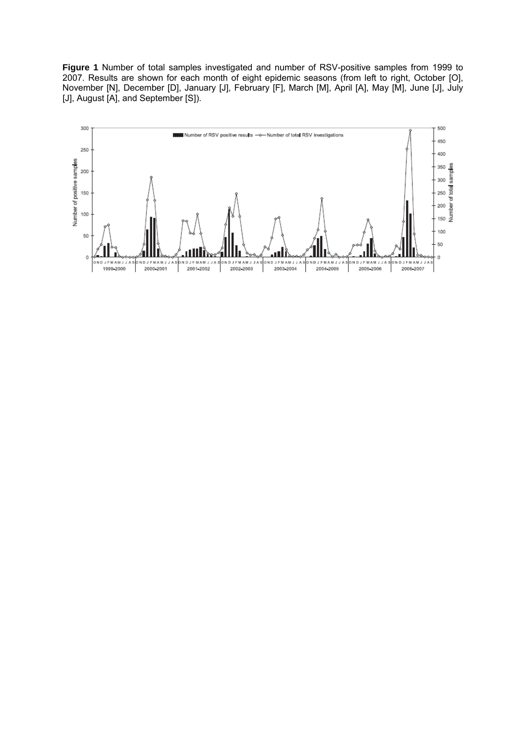**Figure 1** Number of total samples investigated and number of RSV-positive samples from 1999 to 2007. Results are shown for each month of eight epidemic seasons (from left to right, October [O], November [N], December [D], January [J], February [F], March [M], April [A], May [M], June [J], July [J], August [A], and September [S]).

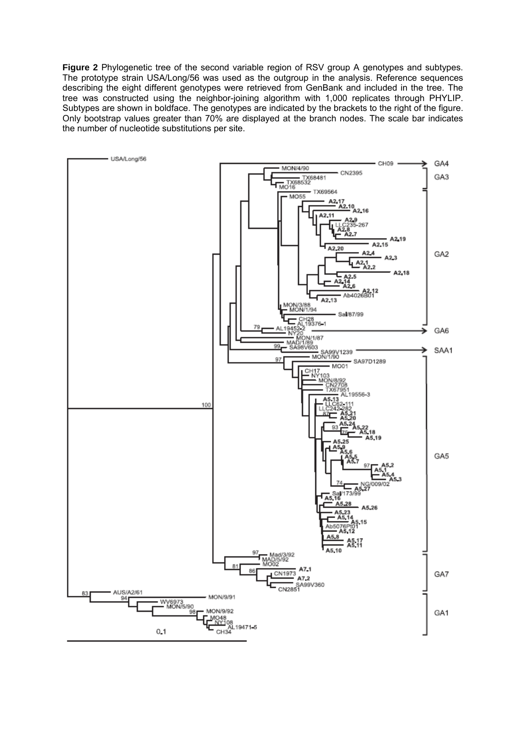**Figure 2** Phylogenetic tree of the second variable region of RSV group A genotypes and subtypes. The prototype strain USA/Long/56 was used as the outgroup in the analysis. Reference sequences describing the eight different genotypes were retrieved from GenBank and included in the tree. The tree was constructed using the neighbor-joining algorithm with 1,000 replicates through PHYLIP. Subtypes are shown in boldface. The genotypes are indicated by the brackets to the right of the figure. Only bootstrap values greater than 70% are displayed at the branch nodes. The scale bar indicates the number of nucleotide substitutions per site.

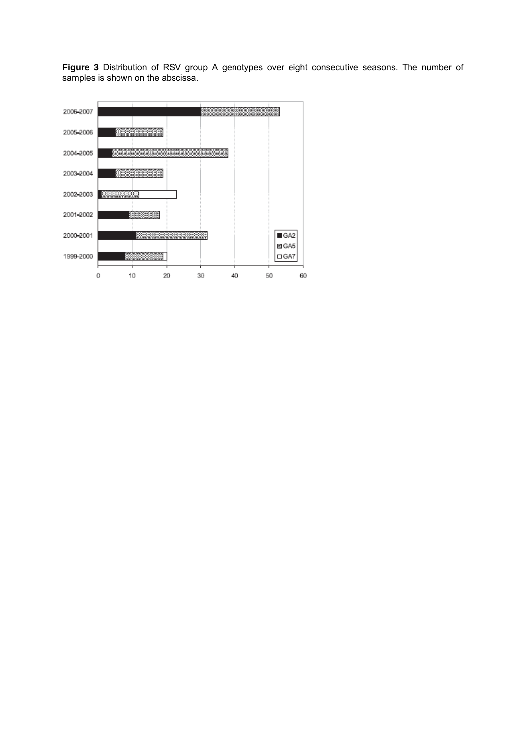**Figure 3** Distribution of RSV group A genotypes over eight consecutive seasons. The number of samples is shown on the abscissa.